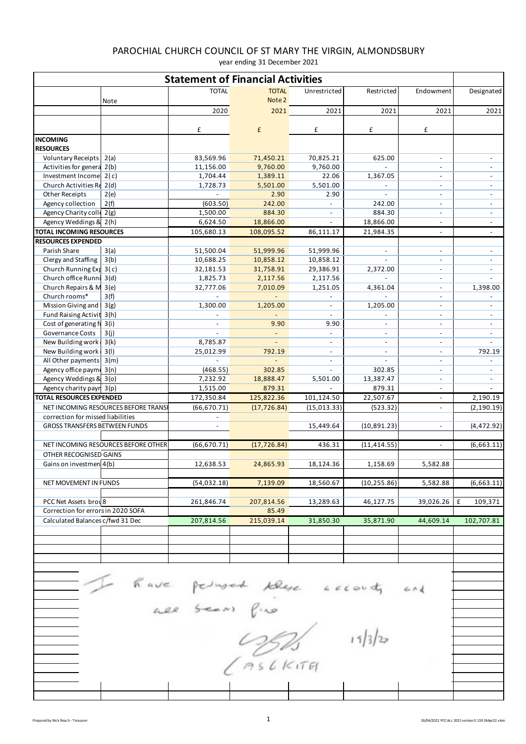| <b>Statement of Financial Activities</b>          |                                     |                             |                          |                          |                                      |                                            |                          |  |  |  |
|---------------------------------------------------|-------------------------------------|-----------------------------|--------------------------|--------------------------|--------------------------------------|--------------------------------------------|--------------------------|--|--|--|
|                                                   |                                     | <b>TOTAL</b>                | <b>TOTAL</b>             | Unrestricted             | Restricted                           | Endowment                                  | Designated               |  |  |  |
|                                                   | Note                                | 2020                        | Note 2<br>2021           | 2021                     | 2021                                 | 2021                                       | 2021                     |  |  |  |
|                                                   |                                     |                             |                          |                          |                                      |                                            |                          |  |  |  |
|                                                   |                                     | £                           | £                        | £                        | £                                    | £                                          |                          |  |  |  |
| <b>INCOMING</b><br><b>RESOURCES</b>               |                                     |                             |                          |                          |                                      |                                            |                          |  |  |  |
| Voluntary Receipts 2(a)                           |                                     | 83,569.96                   | 71,450.21                | 70,825.21                | 625.00                               | $\overline{\phantom{a}}$                   | $\overline{\phantom{a}}$ |  |  |  |
| Activities for genera 2(b)                        |                                     | 11,156.00                   | 9,760.00                 | 9,760.00                 | $\sim$                               | $\overline{\phantom{a}}$                   |                          |  |  |  |
| Investment Income 2(c)                            |                                     | 1,704.44                    | 1,389.11                 | 22.06                    | 1,367.05                             |                                            |                          |  |  |  |
| Church Activities Re 2(d)                         |                                     | 1,728.73                    | 5,501.00                 | 5,501.00                 | $\overline{\phantom{a}}$             | $\overline{\phantom{a}}$                   |                          |  |  |  |
| Other Receipts                                    | 2(e)                                |                             | 2.90                     | 2.90                     |                                      | $\overline{\phantom{a}}$                   |                          |  |  |  |
| Agency collection<br>Agency Charity colle 2(g)    | 2(f)                                | (603.50)<br>1,500.00        | 242.00<br>884.30         | $\overline{\phantom{a}}$ | 242.00<br>884.30                     | $\overline{\phantom{a}}$<br>$\overline{a}$ |                          |  |  |  |
| Agency Weddings & 2(h)                            |                                     | 6,624.50                    | 18,866.00                | $\blacksquare$           | 18,866.00                            | $\overline{\phantom{a}}$                   | $\overline{\phantom{a}}$ |  |  |  |
| <b>TOTAL INCOMING RESOURCES</b>                   |                                     | 105,680.13                  | 108,095.52               | 86,111.17                | 21,984.35                            | $\overline{\phantom{a}}$                   | $\overline{\phantom{a}}$ |  |  |  |
| <b>RESOURCES EXPENDED</b>                         |                                     |                             |                          |                          |                                      |                                            |                          |  |  |  |
| Parish Share                                      | 3(a)                                | 51,500.04                   | 51,999.96                | 51,999.96                |                                      | $\overline{\phantom{a}}$                   |                          |  |  |  |
| Clergy and Staffing                               | 3(b)                                | 10,688.25                   | 10,858.12                | 10,858.12                |                                      |                                            |                          |  |  |  |
| Church Running Exp 3(c)                           |                                     | 32,181.53                   | 31,758.91                | 29,386.91                | 2,372.00                             | $\overline{\phantom{a}}$                   | $\overline{\phantom{a}}$ |  |  |  |
| Church office Runni 3(d)                          |                                     | 1,825.73                    | 2,117.56                 | 2,117.56<br>1,251.05     | $\sim$<br>4,361.04                   |                                            |                          |  |  |  |
| Church Repairs & M 3(e)<br>Church rooms*          | 3(f)                                | 32,777.06<br>$\blacksquare$ | 7,010.09<br>L,           | $\overline{\phantom{a}}$ |                                      | $\blacksquare$                             | 1,398.00                 |  |  |  |
| Mission Giving and   3(g)                         |                                     | 1,300.00                    | 1,205.00                 | $\overline{\phantom{a}}$ | 1,205.00                             | $\overline{\phantom{a}}$                   |                          |  |  |  |
| Fund Raising Activit 3(h)                         |                                     |                             | $\sim$                   | $\overline{\phantom{a}}$ | $\overline{\phantom{a}}$             | $\overline{\phantom{a}}$                   | $\overline{\phantom{a}}$ |  |  |  |
| Cost of generating fu 3(i)                        |                                     |                             | 9.90                     | 9.90                     |                                      | $\overline{a}$                             |                          |  |  |  |
| Governance Costs                                  | 3(i)                                |                             | $\blacksquare$           | $\sim$                   | $\overline{\phantom{a}}$             | $\overline{\phantom{a}}$                   | $\overline{\phantom{a}}$ |  |  |  |
| New Building work 3(k)                            |                                     | 8,785.87                    | $\overline{\phantom{a}}$ | $\overline{\phantom{a}}$ | $\overline{\phantom{a}}$             | $\overline{\phantom{a}}$                   |                          |  |  |  |
| New Building work 3(I)<br>All Other payments 3(m) |                                     | 25,012.99<br>$\overline{a}$ | 792.19                   | $\overline{\phantom{a}}$ | $\overline{\phantom{a}}$<br>$\omega$ | $\overline{\phantom{a}}$                   | 792.19                   |  |  |  |
| Agency office payme 3(n)                          |                                     | (468.55)                    | 302.85                   | $\overline{\phantom{a}}$ | 302.85                               | $\overline{\phantom{a}}$                   | $\overline{\phantom{a}}$ |  |  |  |
| Agency Weddings & 3(o)                            |                                     | 7,232.92                    | 18,888.47                | 5,501.00                 | 13,387.47                            | $\overline{\phantom{a}}$                   | $\overline{\phantom{a}}$ |  |  |  |
| Agency charity payn 3(p)                          |                                     | 1,515.00                    | 879.31                   |                          | 879.31                               |                                            |                          |  |  |  |
| <b>TOTAL RESOURCES EXPENDED</b>                   |                                     | 172,350.84                  | 125,822.36               | 101,124.50               | 22,507.67                            | $\blacksquare$                             | 2,190.19                 |  |  |  |
|                                                   | NET INCOMING RESOURCES BEFORE TRANS | (66, 670.71)                | (17, 726.84)             | (15, 013.33)             | (523.32)                             | $\overline{\phantom{a}}$                   | (2, 190.19)              |  |  |  |
| correction for missed liabilities                 |                                     |                             |                          |                          |                                      |                                            |                          |  |  |  |
| GROSS TRANSFERS BETWEEN FUNDS                     |                                     | $\overline{\phantom{a}}$    |                          | 15,449.64                | (10, 891.23)                         | $\overline{\phantom{a}}$                   | (4, 472.92)              |  |  |  |
|                                                   | NET INCOMING RESOURCES BEFORE OTHER | (66, 670.71)                | (17, 726.84)             | 436.31                   | (11, 414.55)                         | $\overline{\phantom{a}}$                   | (6,663.11)               |  |  |  |
| OTHER RECOGNISED GAINS                            |                                     |                             |                          |                          |                                      |                                            |                          |  |  |  |
| Gains on investmen 4(b)                           |                                     | 12,638.53                   | 24,865.93                | 18,124.36                | 1,158.69                             | 5,582.88                                   |                          |  |  |  |
| NET MOVEMENT IN FUNDS                             |                                     | (54,032.18)                 | 7,139.09                 | 18,560.67                | (10, 255.86)                         | 5,582.88                                   | (6,663.11)               |  |  |  |
|                                                   |                                     |                             |                          |                          |                                      |                                            |                          |  |  |  |
| PCC Net Assets brou 8                             |                                     | 261,846.74                  | 207,814.56               | 13,289.63                | 46,127.75                            | 39,026.26                                  | £<br>109,371             |  |  |  |
| Correction for errors in 2020 SOFA                |                                     |                             | 85.49                    |                          |                                      |                                            |                          |  |  |  |
| Calculated Balances c/fwd 31 Dec                  |                                     | 207,814.56                  | 215,039.14               | 31,850.30                | 35,871.90                            | 44,609.14                                  | 102,707.81               |  |  |  |
|                                                   |                                     |                             |                          |                          |                                      |                                            |                          |  |  |  |
|                                                   |                                     |                             |                          |                          |                                      |                                            |                          |  |  |  |
|                                                   |                                     |                             |                          |                          |                                      |                                            |                          |  |  |  |
|                                                   |                                     |                             |                          |                          |                                      |                                            |                          |  |  |  |
|                                                   |                                     |                             |                          |                          |                                      |                                            |                          |  |  |  |
|                                                   |                                     |                             |                          |                          |                                      | $C \wedge d$                               |                          |  |  |  |
|                                                   |                                     |                             |                          |                          |                                      |                                            |                          |  |  |  |
|                                                   |                                     | have pringed these accounts |                          |                          |                                      |                                            |                          |  |  |  |
|                                                   |                                     |                             |                          |                          |                                      |                                            |                          |  |  |  |
|                                                   |                                     |                             |                          |                          |                                      |                                            |                          |  |  |  |
|                                                   |                                     |                             |                          |                          |                                      |                                            |                          |  |  |  |
|                                                   |                                     |                             |                          |                          |                                      |                                            |                          |  |  |  |
|                                                   |                                     |                             |                          |                          |                                      |                                            |                          |  |  |  |
|                                                   |                                     |                             |                          |                          |                                      |                                            |                          |  |  |  |
|                                                   |                                     |                             |                          |                          |                                      |                                            |                          |  |  |  |
|                                                   |                                     |                             |                          |                          |                                      |                                            |                          |  |  |  |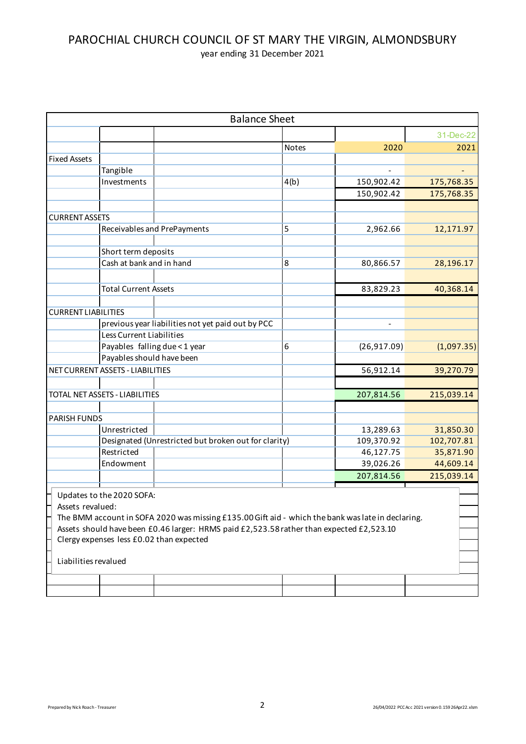|                            |                                  | <b>Balance Sheet</b>                                                                              |       |              |            |
|----------------------------|----------------------------------|---------------------------------------------------------------------------------------------------|-------|--------------|------------|
|                            |                                  |                                                                                                   |       |              | 31-Dec-22  |
|                            |                                  |                                                                                                   | Notes | 2020         | 2021       |
| <b>Fixed Assets</b>        |                                  |                                                                                                   |       |              |            |
|                            | Tangible                         |                                                                                                   |       |              |            |
|                            | Investments                      |                                                                                                   | 4(b)  | 150,902.42   | 175,768.35 |
|                            |                                  |                                                                                                   |       | 150,902.42   | 175,768.35 |
|                            |                                  |                                                                                                   |       |              |            |
| <b>CURRENT ASSETS</b>      |                                  |                                                                                                   |       |              |            |
|                            |                                  | Receivables and PrePayments                                                                       | 5     | 2,962.66     | 12,171.97  |
|                            |                                  |                                                                                                   |       |              |            |
|                            | Short term deposits              |                                                                                                   |       |              |            |
|                            | Cash at bank and in hand         |                                                                                                   | 8     | 80,866.57    | 28,196.17  |
|                            |                                  |                                                                                                   |       |              |            |
|                            |                                  |                                                                                                   |       |              |            |
|                            | <b>Total Current Assets</b>      |                                                                                                   |       | 83,829.23    | 40,368.14  |
|                            |                                  |                                                                                                   |       |              |            |
| <b>CURRENT LIABILITIES</b> |                                  |                                                                                                   |       |              |            |
|                            |                                  | previous year liabilities not yet paid out by PCC                                                 |       |              |            |
|                            | <b>Less Current Liabilities</b>  |                                                                                                   |       |              |            |
|                            | Payables falling due < 1 year    |                                                                                                   | 6     | (26, 917.09) | (1,097.35) |
|                            | Payables should have been        |                                                                                                   |       |              |            |
|                            | NET CURRENT ASSETS - LIABILITIES |                                                                                                   |       | 56,912.14    | 39,270.79  |
|                            |                                  |                                                                                                   |       |              |            |
|                            | TOTAL NET ASSETS - LIABILITIES   |                                                                                                   |       | 207,814.56   | 215,039.14 |
|                            |                                  |                                                                                                   |       |              |            |
| <b>PARISH FUNDS</b>        |                                  |                                                                                                   |       |              |            |
|                            | Unrestricted                     |                                                                                                   |       | 13,289.63    | 31,850.30  |
|                            |                                  | Designated (Unrestricted but broken out for clarity)                                              |       | 109,370.92   | 102,707.81 |
|                            | Restricted                       |                                                                                                   |       | 46,127.75    | 35,871.90  |
|                            | Endowment                        |                                                                                                   |       | 39,026.26    | 44,609.14  |
|                            |                                  |                                                                                                   |       | 207,814.56   | 215,039.14 |
|                            |                                  |                                                                                                   |       |              |            |
|                            | Updates to the 2020 SOFA:        |                                                                                                   |       |              |            |
| Assets revalued:           |                                  |                                                                                                   |       |              |            |
|                            |                                  | The BMM account in SOFA 2020 was missing £135.00 Gift aid - which the bank was late in declaring. |       |              |            |
|                            |                                  | Assets should have been £0.46 larger: HRMS paid £2,523.58 rather than expected £2,523.10          |       |              |            |
|                            |                                  | Clergy expenses less £0.02 than expected                                                          |       |              |            |
|                            |                                  |                                                                                                   |       |              |            |
| Liabilities revalued       |                                  |                                                                                                   |       |              |            |
|                            |                                  |                                                                                                   |       |              |            |
|                            |                                  |                                                                                                   |       |              |            |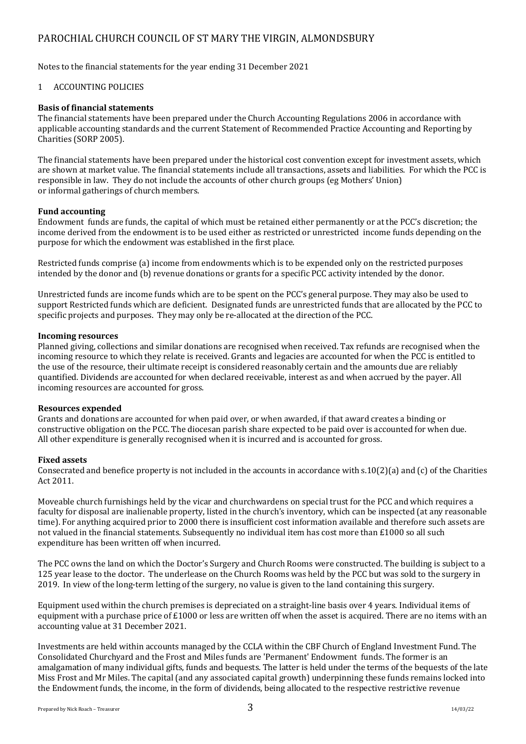## PAROCHIAL CHURCH COUNCIL OF ST MARY THE VIRGIN, ALMONDSBURY

Notes to the financial statements for the year ending 31 December 2021

### 1 ACCOUNTING POLICIES

#### **Basis of financial statements**

The financial statements have been prepared under the Church Accounting Regulations 2006 in accordance with applicable accounting standards and the current Statement of Recommended Practice Accounting and Reporting by Charities (SORP 2005).

The financial statements have been prepared under the historical cost convention except for investment assets, which are shown at market value. The financial statements include all transactions, assets and liabilities. For which the PCC is responsible in law. They do not include the accounts of other church groups (eg Mothers' Union) or informal gatherings of church members.

#### **Fund accounting**

Endowment funds are funds, the capital of which must be retained either permanently or at the PCC's discretion; the income derived from the endowment is to be used either as restricted or unrestricted income funds depending on the purpose for which the endowment was established in the first place.

Restricted funds comprise (a) income from endowments which is to be expended only on the restricted purposes intended by the donor and (b) revenue donations or grants for a specific PCC activity intended by the donor.

Unrestricted funds are income funds which are to be spent on the PCC's general purpose. They may also be used to support Restricted funds which are deficient. Designated funds are unrestricted funds that are allocated by the PCC to specific projects and purposes. They may only be re-allocated at the direction of the PCC.

#### **Incoming resources**

Planned giving, collections and similar donations are recognised when received. Tax refunds are recognised when the incoming resource to which they relate is received. Grants and legacies are accounted for when the PCC is entitled to the use of the resource, their ultimate receipt is considered reasonably certain and the amounts due are reliably quantified. Dividends are accounted for when declared receivable, interest as and when accrued by the payer. All incoming resources are accounted for gross.

### **Resources expended**

Grants and donations are accounted for when paid over, or when awarded, if that award creates a binding or constructive obligation on the PCC. The diocesan parish share expected to be paid over is accounted for when due. All other expenditure is generally recognised when it is incurred and is accounted for gross.

#### **Fixed assets**

Consecrated and benefice property is not included in the accounts in accordance with  $s.10(2)(a)$  and (c) of the Charities Act 2011.

Moveable church furnishings held by the vicar and churchwardens on special trust for the PCC and which requires a faculty for disposal are inalienable property, listed in the church's inventory, which can be inspected (at any reasonable time). For anything acquired prior to 2000 there is insufficient cost information available and therefore such assets are not valued in the financial statements. Subsequently no individual item has cost more than £1000 so all such expenditure has been written off when incurred.

The PCC owns the land on which the Doctor's Surgery and Church Rooms were constructed. The building is subject to a 125 year lease to the doctor. The underlease on the Church Rooms was held by the PCC but was sold to the surgery in 2019. In view of the long-term letting of the surgery, no value is given to the land containing this surgery.

Equipment used within the church premises is depreciated on a straight-line basis over 4 years. Individual items of equipment with a purchase price of £1000 or less are written off when the asset is acquired. There are no items with an accounting value at 31 December 2021.

Investments are held within accounts managed by the CCLA within the CBF Church of England Investment Fund. The Consolidated Churchyard and the Frost and Miles funds are 'Permanent' Endowment funds. The former is an amalgamation of many individual gifts, funds and bequests. The latter is held under the terms of the bequests of the late Miss Frost and Mr Miles. The capital (and any associated capital growth) underpinning these funds remains locked into the Endowment funds, the income, in the form of dividends, being allocated to the respective restrictive revenue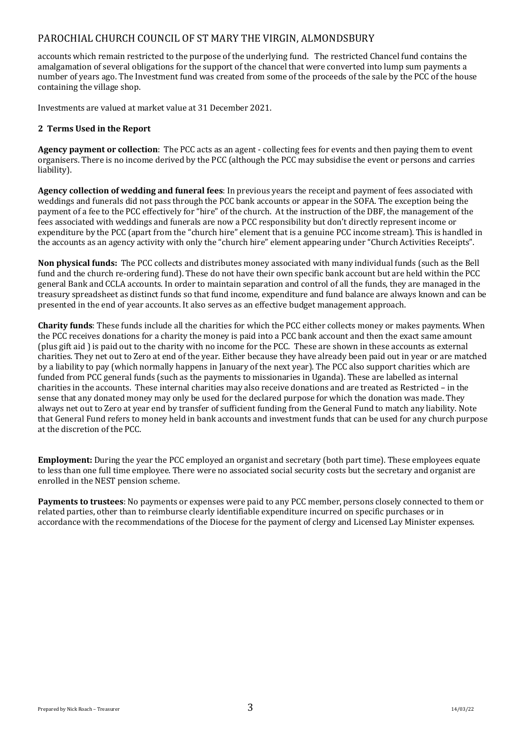## PAROCHIAL CHURCH COUNCIL OF ST MARY THE VIRGIN, ALMONDSBURY

accounts which remain restricted to the purpose of the underlying fund. The restricted Chancel fund contains the amalgamation of several obligations for the support of the chancel that were converted into lump sum payments a number of vears ago. The Investment fund was created from some of the proceeds of the sale by the PCC of the house containing the village shop.

Investments are valued at market value at 31 December 2021.

### **2 Terms Used in the Report**

**Agency payment or collection**: The PCC acts as an agent - collecting fees for events and then paying them to event organisers. There is no income derived by the PCC (although the PCC may subsidise the event or persons and carries liability). 

**Agency collection of wedding and funeral fees**: In previous years the receipt and payment of fees associated with weddings and funerals did not pass through the PCC bank accounts or appear in the SOFA. The exception being the payment of a fee to the PCC effectively for "hire" of the church. At the instruction of the DBF, the management of the fees associated with weddings and funerals are now a PCC responsibility but don't directly represent income or expenditure by the PCC (apart from the "church hire" element that is a genuine PCC income stream). This is handled in the accounts as an agency activity with only the "church hire" element appearing under "Church Activities Receipts".

**Non physical funds:** The PCC collects and distributes money associated with many individual funds (such as the Bell fund and the church re-ordering fund). These do not have their own specific bank account but are held within the PCC general Bank and CCLA accounts. In order to maintain separation and control of all the funds, they are managed in the treasury spreadsheet as distinct funds so that fund income, expenditure and fund balance are always known and can be presented in the end of year accounts. It also serves as an effective budget management approach.

**Charity funds**: These funds include all the charities for which the PCC either collects money or makes payments. When the PCC receives donations for a charity the money is paid into a PCC bank account and then the exact same amount (plus gift aid) is paid out to the charity with no income for the PCC. These are shown in these accounts as external charities. They net out to Zero at end of the year. Either because they have already been paid out in year or are matched by a liability to pay (which normally happens in January of the next year). The PCC also support charities which are funded from PCC general funds (such as the payments to missionaries in Uganda). These are labelled as internal charities in the accounts. These internal charities may also receive donations and are treated as Restricted - in the sense that any donated money may only be used for the declared purpose for which the donation was made. They always net out to Zero at year end by transfer of sufficient funding from the General Fund to match any liability. Note that General Fund refers to money held in bank accounts and investment funds that can be used for any church purpose at the discretion of the PCC.

**Employment:** During the year the PCC employed an organist and secretary (both part time). These employees equate to less than one full time employee. There were no associated social security costs but the secretary and organist are enrolled in the NEST pension scheme.

**Payments to trustees**: No payments or expenses were paid to any PCC member, persons closely connected to them or related parties, other than to reimburse clearly identifiable expenditure incurred on specific purchases or in accordance with the recommendations of the Diocese for the payment of clergy and Licensed Lay Minister expenses.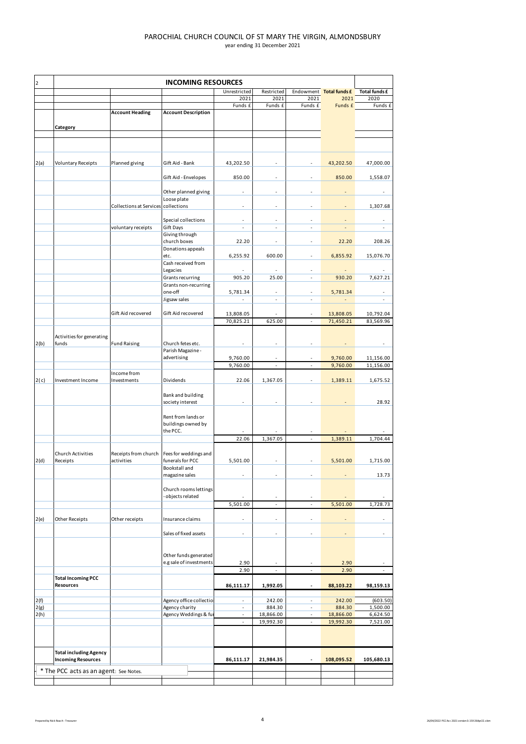| $\mathbf 2$  | <b>INCOMING RESOURCES</b>                                  |                                     |                                            |                                                      |                          |                                                      |                         |                          |  |
|--------------|------------------------------------------------------------|-------------------------------------|--------------------------------------------|------------------------------------------------------|--------------------------|------------------------------------------------------|-------------------------|--------------------------|--|
|              |                                                            |                                     |                                            | Unrestricted                                         | Restricted               |                                                      | Endowment Total funds £ | Total funds £            |  |
|              |                                                            |                                     |                                            | 2021                                                 | 2021                     | 2021                                                 | 2021                    | 2020                     |  |
|              |                                                            |                                     |                                            | Funds £                                              | Funds £                  | Funds £                                              | Funds £                 | Funds £                  |  |
|              |                                                            | <b>Account Heading</b>              | <b>Account Description</b>                 |                                                      |                          |                                                      |                         |                          |  |
|              | Category                                                   |                                     |                                            |                                                      |                          |                                                      |                         |                          |  |
|              |                                                            |                                     |                                            |                                                      |                          |                                                      |                         |                          |  |
|              |                                                            |                                     |                                            |                                                      |                          |                                                      |                         |                          |  |
|              |                                                            |                                     |                                            |                                                      |                          |                                                      |                         |                          |  |
| 2(a)         | <b>Voluntary Receipts</b>                                  | Planned giving                      | Gift Aid - Bank                            | 43,202.50                                            | ä,                       |                                                      | 43,202.50               | 47,000.00                |  |
|              |                                                            |                                     | Gift Aid - Envelopes                       | 850.00                                               | ä,                       |                                                      | 850.00                  | 1,558.07                 |  |
|              |                                                            |                                     |                                            |                                                      |                          |                                                      |                         |                          |  |
|              |                                                            |                                     | Other planned giving                       | $\sim$                                               | ä,                       |                                                      |                         |                          |  |
|              |                                                            | Collections at Services collections | Loose plate                                | $\sim$                                               | ä,                       | ÷.                                                   |                         | 1,307.68                 |  |
|              |                                                            |                                     |                                            |                                                      |                          |                                                      |                         |                          |  |
|              |                                                            |                                     | Special collections                        | ٠                                                    | ٠                        |                                                      |                         | ٠                        |  |
|              |                                                            | voluntary receipts                  | Gift Days                                  | $\blacksquare$                                       | ÷,                       | $\overline{\phantom{a}}$                             | ÷,                      | $\overline{\phantom{a}}$ |  |
|              |                                                            |                                     | Giving through<br>church boxes             | 22.20                                                | ä,                       | ÷                                                    | 22.20                   | 208.26                   |  |
|              |                                                            |                                     | Donations appeals                          |                                                      |                          |                                                      |                         |                          |  |
|              |                                                            |                                     | etc.                                       | 6,255.92                                             | 600.00                   | ٠                                                    | 6,855.92                | 15,076.70                |  |
|              |                                                            |                                     | Cash received from                         |                                                      |                          | ٠                                                    |                         |                          |  |
|              |                                                            |                                     | Legacies<br>Grants recurring               | 905.20                                               | 25.00                    | ä,                                                   | 930.20                  | 7,627.21                 |  |
|              |                                                            |                                     | Grants non-recurring                       |                                                      |                          |                                                      |                         |                          |  |
|              |                                                            |                                     | one-off                                    | 5,781.34                                             | ÷,                       | $\overline{\phantom{a}}$                             | 5,781.34                | $\overline{\phantom{a}}$ |  |
|              |                                                            |                                     | Jigsaw sales                               | $\overline{\phantom{a}}$                             | $\overline{\phantom{a}}$ | ä,                                                   |                         | ٠                        |  |
|              |                                                            | Gift Aid recovered                  | Gift Aid recovered                         | 13,808.05                                            | ä,                       |                                                      | 13,808.05               | 10,792.04                |  |
|              |                                                            |                                     |                                            | 70,825.21                                            | 625.00                   | ä,                                                   | 71,450.21               | 83,569.96                |  |
|              |                                                            |                                     |                                            |                                                      |                          |                                                      |                         |                          |  |
|              | Activities for generating                                  |                                     |                                            |                                                      |                          |                                                      |                         |                          |  |
| 2(b)         | funds                                                      | <b>Fund Raising</b>                 | Church fetes etc.<br>Parish Magazine -     | $\overline{\phantom{a}}$                             | ÷,                       |                                                      |                         |                          |  |
|              |                                                            |                                     | advertising                                | 9,760.00                                             | ä,                       |                                                      | 9,760.00                | 11,156.00                |  |
|              |                                                            |                                     |                                            | 9,760.00                                             | $\overline{\phantom{a}}$ | $\overline{\phantom{a}}$                             | 9,760.00                | 11,156.00                |  |
|              |                                                            | Income from                         |                                            |                                                      |                          |                                                      |                         |                          |  |
| 2(c)         | Investment Income                                          | Investments                         | Dividends                                  | 22.06                                                | 1,367.05                 | ä,                                                   | 1,389.11                | 1,675.52                 |  |
|              |                                                            |                                     | Bank and building                          |                                                      |                          |                                                      |                         |                          |  |
|              |                                                            |                                     | society interest                           | $\sim$                                               |                          |                                                      |                         | 28.92                    |  |
|              |                                                            |                                     |                                            |                                                      |                          |                                                      |                         |                          |  |
|              |                                                            |                                     | Rent from lands or<br>buildings owned by   |                                                      |                          |                                                      |                         |                          |  |
|              |                                                            |                                     | the PCC.                                   |                                                      |                          |                                                      |                         |                          |  |
|              |                                                            |                                     |                                            | 22.06                                                | 1,367.05                 |                                                      | 1,389.11                | 1,704.44                 |  |
|              |                                                            |                                     |                                            |                                                      |                          |                                                      |                         |                          |  |
| 2(d)         | <b>Church Activities</b><br>Receipts                       | Receipts from church<br>activities  | Fees for weddings and<br>funerals for PCC  | 5,501.00                                             | $\overline{\phantom{a}}$ |                                                      | 5,501.00                | 1,715.00                 |  |
|              |                                                            |                                     | Bookstall and                              |                                                      |                          |                                                      |                         |                          |  |
|              |                                                            |                                     | magazine sales                             |                                                      |                          |                                                      |                         | 13.73                    |  |
|              |                                                            |                                     |                                            |                                                      |                          |                                                      |                         |                          |  |
|              |                                                            |                                     | Church rooms lettings<br>- objects related |                                                      |                          |                                                      |                         |                          |  |
|              |                                                            |                                     |                                            | 5,501.00                                             | ÷.                       | $\blacksquare$                                       | 5,501.00                | 1,728.73                 |  |
|              |                                                            |                                     |                                            |                                                      |                          |                                                      |                         |                          |  |
| 2(e)         | Other Receipts                                             | Other receipts                      | Insurance claims                           | $\overline{\phantom{a}}$                             | ٠                        |                                                      |                         |                          |  |
|              |                                                            |                                     |                                            | $\sim$                                               | ä,                       |                                                      |                         |                          |  |
|              |                                                            |                                     | Sales of fixed assets                      |                                                      |                          |                                                      |                         |                          |  |
|              |                                                            |                                     |                                            |                                                      |                          |                                                      |                         |                          |  |
|              |                                                            |                                     | Other funds generated                      |                                                      |                          |                                                      |                         |                          |  |
|              |                                                            |                                     | e.g sale of investments                    | 2.90                                                 |                          |                                                      | 2.90                    |                          |  |
|              | <b>Total Incoming PCC</b>                                  |                                     |                                            | 2.90                                                 |                          |                                                      | 2.90                    |                          |  |
|              | Resources                                                  |                                     |                                            | 86,111.17                                            | 1,992.05                 | $\overline{\phantom{a}}$                             | 88,103.22               | 98,159.13                |  |
|              |                                                            |                                     |                                            |                                                      |                          |                                                      |                         |                          |  |
| 2(f)         |                                                            |                                     | Agency office collectio                    | ÷                                                    | 242.00                   | ٠                                                    | 242.00                  | (603.50)                 |  |
| 2(g)<br>2(h) |                                                            |                                     | Agency charity<br>Agency Weddings & ful    | $\overline{\phantom{a}}$<br>$\overline{\phantom{a}}$ | 884.30<br>18,866.00      | $\overline{\phantom{a}}$<br>$\overline{\phantom{a}}$ | 884.30<br>18,866.00     | 1,500.00<br>6,624.50     |  |
|              |                                                            |                                     |                                            |                                                      | 19,992.30                | ä,                                                   | 19,992.30               | 7,521.00                 |  |
|              |                                                            |                                     |                                            |                                                      |                          |                                                      |                         |                          |  |
|              |                                                            |                                     |                                            |                                                      |                          |                                                      |                         |                          |  |
|              |                                                            |                                     |                                            |                                                      |                          |                                                      |                         |                          |  |
|              | <b>Total including Agency</b><br><b>Incoming Resources</b> |                                     |                                            | 86,111.17                                            | 21,984.35                |                                                      | 108,095.52              | 105,680.13               |  |
|              |                                                            |                                     |                                            |                                                      |                          |                                                      |                         |                          |  |
|              | * The PCC acts as an agent: See Notes.                     |                                     |                                            |                                                      |                          |                                                      |                         |                          |  |
|              |                                                            |                                     |                                            |                                                      |                          |                                                      |                         |                          |  |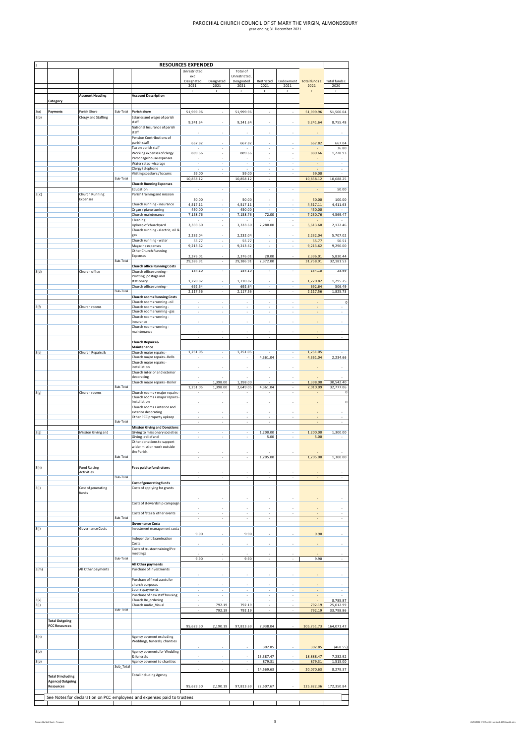|       | <b>RESOURCES EXPENDED</b>                     |                        |           |                                                                          |                               |                                |                                |                                                      |                               |                                       |                                                      |
|-------|-----------------------------------------------|------------------------|-----------|--------------------------------------------------------------------------|-------------------------------|--------------------------------|--------------------------------|------------------------------------------------------|-------------------------------|---------------------------------------|------------------------------------------------------|
|       |                                               |                        |           |                                                                          | Unrestricted                  |                                | Total of                       |                                                      |                               |                                       |                                                      |
|       |                                               |                        |           |                                                                          | exc<br>Designated             | Designated                     | Unrestricted,<br>Designated    | Restricted                                           |                               | Endowment Total funds £ Total funds £ |                                                      |
|       |                                               |                        |           |                                                                          | 2021<br>£                     | 2021<br>£                      | 2021<br>£                      | 2021<br>£                                            | 2021                          | 2021<br>£                             | 2020<br>£                                            |
|       |                                               | <b>Account Heading</b> |           | <b>Account Description</b>                                               |                               |                                |                                |                                                      |                               |                                       |                                                      |
|       | Category                                      |                        |           |                                                                          |                               |                                |                                |                                                      |                               |                                       |                                                      |
| 3(a)  | Payments                                      | Parish Share           | Sub-Total | Parish share                                                             | 51,999.96                     |                                | 51,999.96                      |                                                      |                               | 51,999.96                             | 51,500.04                                            |
| 3(b)  |                                               | Clergy and Staffing    |           | Salaries and wages of parish<br>staff                                    |                               |                                |                                |                                                      |                               |                                       |                                                      |
|       |                                               |                        |           | National Insurance of parish                                             | 9,241.64                      |                                | 9,241.64                       |                                                      |                               | 9,241.64                              | 8,755.48                                             |
|       |                                               |                        |           | staff                                                                    |                               |                                |                                |                                                      |                               |                                       |                                                      |
|       |                                               |                        |           | Pension Contributions of<br>parish staff                                 | 667.82                        |                                | 667.82                         |                                                      |                               | 667.82                                | 667.04                                               |
|       |                                               |                        |           | Tax on parish staff                                                      |                               | ×                              |                                | ä,                                                   | ×                             |                                       | 36.80                                                |
|       |                                               |                        |           | Working expenses of clergy<br>Parsonage house expenses                   | 889.66                        |                                | 889.66                         | i,                                                   | ä,                            | 889.66                                | 1,228.93                                             |
|       |                                               |                        |           | Water rates - vicarage                                                   | ä,                            |                                |                                | i,                                                   |                               |                                       |                                                      |
|       |                                               |                        |           | Clergy telephone<br>Visiting speakers / locums                           | 59.00                         | i,                             | 59.00                          | i,                                                   | i,                            | 59.00                                 | i,                                                   |
|       |                                               |                        | Sub-Total |                                                                          | 10,858.12                     |                                | 10,858.12                      | $\overline{\phantom{a}}$                             |                               | 10,858.12                             | 10,688.25                                            |
|       |                                               |                        |           | <b>Church Running Expenses</b><br>Education                              |                               | ×                              |                                | ٠                                                    |                               |                                       |                                                      |
| 3(c)  |                                               | Church Running         |           | Parish training and mission                                              | $\overline{\phantom{a}}$      |                                | $\overline{\phantom{a}}$       |                                                      | $\frac{1}{2}$                 |                                       | 50.00                                                |
|       |                                               | Expenses               |           | Church running - insurance                                               | 50.00<br>4,517.11             |                                | 50.00<br>4,517.11              |                                                      |                               | 50.00<br>4,517.11                     | 100.00<br>4,411.63                                   |
|       |                                               |                        |           | Organ / piano tuning                                                     | 450.00                        |                                | 450.00                         |                                                      |                               | 450.00                                |                                                      |
|       |                                               |                        |           | Church maintenance                                                       | 7,158.76<br>$\sim$            | ٠<br>ä,                        | 7,158.76<br>$\sim$             | 72.00<br>٠                                           | ٠<br>ä,                       | 7,230.76<br>×                         | 4,569.47<br>$\overline{\phantom{a}}$                 |
|       |                                               |                        |           | Cleaning<br>Upkeep of churchyard                                         | 3,333.60                      | ä,                             | 3,333.60                       | 2,280.00                                             | ä,                            | 5,613.60                              | 2,172.46                                             |
|       |                                               |                        |           | Church running - electric, oil &                                         |                               |                                |                                |                                                      |                               |                                       |                                                      |
|       |                                               |                        |           | gas<br>Church running - water                                            | 2,232.04<br>55.77             | i,                             | 2,232.04<br>55.77              | i,                                                   | i,                            | 2,232.04<br>55.77                     | 5,707.02<br>50.51                                    |
|       |                                               |                        |           | Magazine expenses                                                        | 9,213.62                      | i,                             | 9,213.62                       | i,                                                   | í,                            | 9,213.62                              | 9,290.00                                             |
|       |                                               |                        |           | Other Church Running<br>Expenses                                         | 2,376.01                      |                                | 2,376.01                       | 20.00                                                |                               | 2,396.01                              | 5,830.44                                             |
|       |                                               |                        | Sub-Total |                                                                          | 29,386.91                     | $\sim$                         | 29,386.91                      | 2,372.00                                             |                               | 31,758.91                             | 32,181.53                                            |
| 3 (d) |                                               | Church office          |           | <b>Church office Running Costs</b><br>Church office running -            | 154.10                        | ٠                              | 154.10                         | ٠                                                    |                               | 154.10                                | 23.99                                                |
|       |                                               |                        |           | Printing, postage and                                                    |                               |                                |                                |                                                      |                               |                                       |                                                      |
|       |                                               |                        |           | stationery<br>Church office running -                                    | 1,270.82<br>692.64            |                                | 1,270.82<br>692.64             |                                                      |                               | 1,270.82<br>692.64                    | 1,295.25<br>506.49                                   |
|       |                                               |                        | Sub-Total |                                                                          | 2,117.56                      | ×.                             | 2.117.56                       | $\sim$                                               | ×.                            | 2.117.56                              | 1.825.73                                             |
|       |                                               |                        |           | <b>Church rooms Running Costs</b><br>Church rooms running - oil          |                               |                                |                                |                                                      |                               |                                       | O                                                    |
| 3(f)  |                                               | Church rooms           |           | Church rooms running-                                                    |                               |                                |                                |                                                      |                               |                                       |                                                      |
|       |                                               |                        |           | Church rooms running - gas<br>Church rooms running -                     | ä,                            |                                |                                | i,                                                   |                               |                                       |                                                      |
|       |                                               |                        |           | insurance                                                                |                               |                                | i.                             | ٠                                                    |                               |                                       |                                                      |
|       |                                               |                        |           | Church rooms running-<br>maintenance                                     |                               |                                |                                |                                                      |                               |                                       |                                                      |
|       |                                               |                        |           |                                                                          |                               |                                |                                |                                                      |                               |                                       |                                                      |
|       |                                               |                        |           | <b>Church Repairs &amp;</b><br>Maintenance                               |                               |                                |                                |                                                      |                               |                                       |                                                      |
| 3(e)  |                                               | Church Repairs &       |           | Church major repairs -                                                   | 1,251.05                      | ٠                              | 1,251.05                       |                                                      |                               | 1,251.05                              |                                                      |
|       |                                               |                        |           | Church major repairs - Bells<br>Church major repairs -                   |                               | i,                             |                                | 4,361.04                                             |                               | 4,361.04                              | 2,234.66                                             |
|       |                                               |                        |           | installation                                                             |                               |                                |                                |                                                      |                               |                                       |                                                      |
|       |                                               |                        |           | Church interior and exterior<br>decorating                               |                               |                                |                                |                                                      |                               |                                       |                                                      |
|       |                                               |                        |           | Church major repairs - Boiler                                            |                               | 1,398.00                       | 1,398.00                       |                                                      |                               | 1,398.00                              | 30,542.40                                            |
| 3(g)  |                                               | Church rooms           | Sub-Total | Church rooms + major repairs -                                           | 1,251.05                      | 1,398.00                       | 2,649.05                       | 4,361.04                                             |                               | 7,010.09                              | 32,777.06                                            |
|       |                                               |                        |           | Church rooms + major repairs                                             |                               |                                |                                |                                                      |                               |                                       |                                                      |
|       |                                               |                        |           | installation<br>Church rooms + interior and                              |                               |                                |                                |                                                      |                               |                                       | $\circ$                                              |
|       |                                               |                        |           | exterior decorating                                                      |                               |                                |                                |                                                      |                               |                                       |                                                      |
|       |                                               |                        | Sub-Total | Other PCC property upkeep                                                | ٠                             | $\frac{1}{2}$                  | $\frac{1}{2}$                  | $\hat{\phantom{a}}$                                  | $\frac{1}{2}$                 |                                       | ٠                                                    |
|       |                                               |                        |           | <b>Mission Giving and Donations</b>                                      |                               |                                |                                |                                                      |                               |                                       |                                                      |
| 3 (g) |                                               | Mission Giving and     |           | Giving to missionary societies<br>Giving - relief and                    | ٠                             | ٠                              | ï<br>٠                         | 1,200.00<br>5.00                                     |                               | 1,200.00<br>5.00                      | 1,300.00                                             |
|       |                                               |                        |           | Other donations to support                                               |                               |                                |                                |                                                      |                               |                                       |                                                      |
|       |                                               |                        |           | wider mission work outside<br>the Parish.                                |                               |                                |                                |                                                      |                               |                                       |                                                      |
|       |                                               |                        | Sub-Total |                                                                          |                               |                                |                                | 1.205.00                                             |                               | 1,205.00                              | 1,300.00                                             |
| 3(h)  |                                               | <b>Fund Raising</b>    |           | <b>Fees paid to fund raisers</b>                                         |                               |                                |                                |                                                      |                               |                                       |                                                      |
|       |                                               | Activities             |           |                                                                          |                               |                                |                                |                                                      |                               |                                       |                                                      |
|       |                                               |                        | Sub-Total | Cost of generating funds                                                 |                               |                                |                                |                                                      |                               |                                       |                                                      |
| 3(i)  |                                               | Cost of generating     |           | Costs of applying for grants                                             |                               |                                |                                |                                                      |                               |                                       |                                                      |
|       |                                               | funds                  |           |                                                                          |                               |                                |                                |                                                      |                               |                                       |                                                      |
|       |                                               |                        |           | Costs of stewardship campaign                                            |                               |                                |                                |                                                      |                               |                                       |                                                      |
|       |                                               |                        |           | Costs of fetes & other events                                            | ٠                             | ä,                             | ×,                             | ٠                                                    |                               |                                       | ä,                                                   |
|       |                                               |                        | Sub-Total |                                                                          | ٠                             |                                | ٠                              |                                                      |                               |                                       |                                                      |
| 3(j)  |                                               | Governance Costs       |           | <b>Governance Costs</b><br>Investment management costs                   |                               |                                |                                |                                                      |                               |                                       |                                                      |
|       |                                               |                        |           |                                                                          | 9.90                          |                                | 9.90                           |                                                      |                               | 9.90                                  |                                                      |
|       |                                               |                        |           | Independent Examination<br>Costs                                         |                               |                                |                                |                                                      |                               |                                       |                                                      |
|       |                                               |                        |           | Costs of trustee training/Pcc                                            |                               |                                |                                |                                                      |                               |                                       |                                                      |
|       |                                               |                        | Sub-Total | meetings                                                                 | 9.90                          | ×.                             | 9.90                           |                                                      |                               | 9.90                                  |                                                      |
|       |                                               |                        |           | All Other payments                                                       |                               |                                |                                |                                                      |                               |                                       |                                                      |
| 3(m)  |                                               | All Other payments     |           | Purchase of Investments                                                  |                               |                                |                                |                                                      |                               |                                       |                                                      |
|       |                                               |                        |           | Purchase of fixed assets for                                             |                               |                                |                                |                                                      |                               |                                       |                                                      |
|       |                                               |                        |           | church purposes                                                          |                               |                                |                                |                                                      |                               |                                       |                                                      |
|       |                                               |                        |           | Loan repayments<br>Purchase of new staff housing                         | $\overline{\phantom{a}}$<br>٠ | ×,<br>$\overline{\phantom{a}}$ | à,<br>$\overline{\phantom{a}}$ | $\overline{\phantom{a}}$<br>$\overline{\phantom{a}}$ | $\overline{\phantom{a}}$<br>٠ | ÷                                     | $\overline{\phantom{a}}$<br>$\overline{\phantom{a}}$ |
| 3(k)  |                                               |                        |           | Church Re_ordering                                                       | $\overline{\phantom{a}}$      | ä,                             | ×,                             | $\overline{\phantom{a}}$                             | $\overline{\phantom{a}}$      |                                       | 8,785.87                                             |
| 3(1)  |                                               |                        | Sub-Total | Church Audio_Visual                                                      |                               | 792.19<br>792.19               | 792.19<br>792.19               | $\hat{\phantom{a}}$                                  | ٠                             | 792.19<br>792.19                      | 25,012.99<br>33,798.86                               |
|       |                                               |                        |           |                                                                          |                               |                                |                                |                                                      |                               |                                       |                                                      |
|       | <b>Total Outgoing</b><br><b>PCC Resources</b> |                        |           |                                                                          | 95,623.50                     | 2,190.19                       | 97,813.69                      | 7,938.04                                             |                               | 105,751.73                            | 164,071.47                                           |
|       |                                               |                        |           |                                                                          |                               |                                |                                |                                                      |                               |                                       |                                                      |
| 3(n)  |                                               |                        |           | Agency payment excluding<br>Weddings, funerals, charities                |                               |                                |                                |                                                      |                               |                                       |                                                      |
|       |                                               |                        |           |                                                                          |                               |                                |                                | 302.85                                               |                               | 302.85                                | (468.55)                                             |
| 3(0)  |                                               |                        |           | Agency payments for Wedding<br>& funerals                                |                               |                                |                                | 13,387.47                                            |                               | 18,888.47                             | 7,232.92                                             |
| 3(p)  |                                               |                        |           | Agency payment to charities                                              |                               | ä,                             | i,                             | 879.31                                               |                               | 879.31                                | 1,515.00                                             |
|       |                                               |                        | Sub_Total |                                                                          |                               |                                |                                | 14,569.63                                            |                               | 20,070.63                             | 8,279.37                                             |
|       | Total 9 including                             |                        |           | <b>Total including Agency</b>                                            |                               |                                |                                |                                                      |                               |                                       |                                                      |
|       | Agency) Outgoing<br><b>Resources</b>          |                        |           |                                                                          | 95,623.50                     | 2,190.19                       | 97,813.69                      | 22,507.67                                            |                               | 125,822.36                            | 172,350.84                                           |
|       |                                               |                        |           |                                                                          |                               |                                |                                |                                                      |                               |                                       |                                                      |
|       |                                               |                        |           | See Notes for declaration on PCC employees and expenses paid to trustees |                               |                                |                                |                                                      |                               |                                       |                                                      |